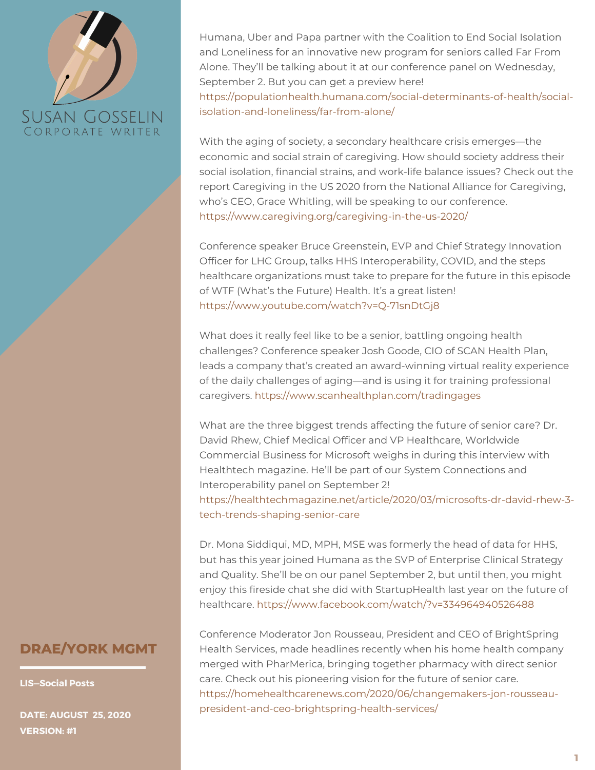Humana, Uber and Papa partner with the Coalition to End Social Isolation and Loneliness for an innovative new program for seniors called Far From Alone. They'll be talking about it at our conference panel on Wednesday, September 2. But you can get a preview here!

[https://populationhealth.humana.com/social-determinants-of-health/social](https://populationhealth.humana.com/social-determinants-of-health/social-isolation-and-loneliness/far-from-alone/)isolation-and-loneliness/far-from-alone/

With the aging of society, a secondary healthcare crisis emerges—the economic and social strain of caregiving. How should society address their social isolation, financial strains, and work-life balance issues? Check out the report Caregiving in the US 2020 from the National Alliance for Caregiving, who's CEO, Grace Whitling, will be speaking to our conference. <https://www.caregiving.org/caregiving-in-the-us-2020/>

Conference speaker Bruce Greenstein, EVP and Chief Strategy Innovation Officer for LHC Group, talks HHS Interoperability, COVID, and the steps healthcare organizations must take to prepare for the future in this episode of WTF (What's the Future) Health. It's a great listen! <https://www.youtube.com/watch?v=Q-71snDtGj8>

What does it really feel like to be a senior, battling ongoing health challenges? Conference speaker Josh Goode, CIO of SCAN Health Plan, leads a company that's created an award-winning virtual reality experience of the daily challenges of aging—and is using it for training professional caregivers. <https://www.scanhealthplan.com/tradingages>

What are the three biggest trends affecting the future of senior care? Dr. David Rhew, Chief Medical Officer and VP Healthcare, Worldwide Commercial Business for Microsoft weighs in during this interview with Healthtech magazine. He'll be part of our System Connections and Interoperability panel on September 2! [https://healthtechmagazine.net/article/2020/03/microsofts-dr-david-rhew-3](https://healthtechmagazine.net/article/2020/03/microsofts-dr-david-rhew-3-tech-trends-shaping-senior-care) tech-trends-shaping-senior-care

Dr. Mona Siddiqui, MD, MPH, MSE was formerly the head of data for HHS, but has this year joined Humana as the SVP of Enterprise Clinical Strategy and Quality. She'll be on our panel September 2, but until then, you might enjoy this fireside chat she did with StartupHealth last year on the future of healthcare. <https://www.facebook.com/watch/?v=334964940526488>

#### **DRAE/YORK MGMT**

**LIS—Social Posts**

**DATE: AUGUST 25, 2020 VERSION: #1**

Conference Moderator Jon Rousseau, President and CEO of BrightSpring Health Services, made headlines recently when his home health company merged with PharMerica, bringing together pharmacy with direct senior care. Check out his pioneering vision for the future of senior care. [https://homehealthcarenews.com/2020/06/changemakers-jon-rousseau](https://homehealthcarenews.com/2020/06/changemakers-jon-rousseau-president-and-ceo-brightspring-health-services/)president-and-ceo-brightspring-health-services/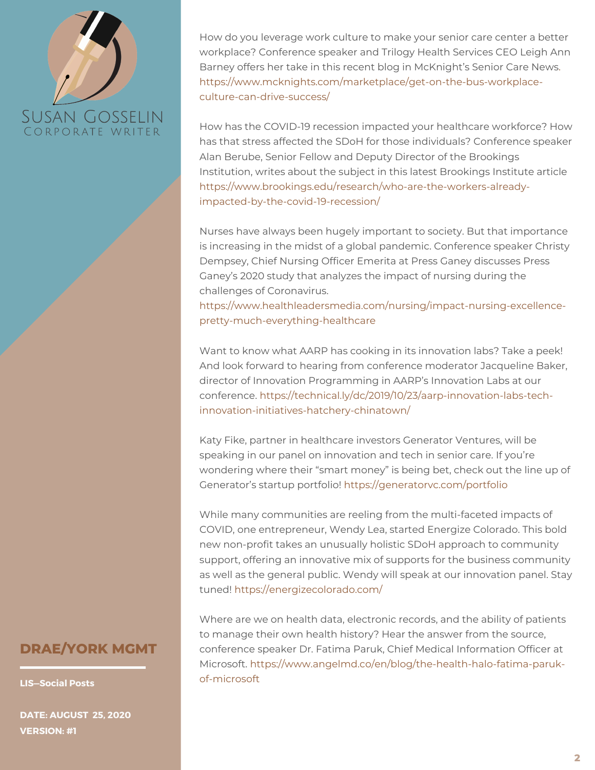How do you leverage work culture to make your senior care center a better workplace? Conference speaker and Trilogy Health Services CEO Leigh Ann Barney offers her take in this recent blog in McKnight's Senior Care News. [https://www.mcknights.com/marketplace/get-on-the-bus-workplace](https://www.mcknights.com/marketplace/get-on-the-bus-workplace-culture-can-drive-success/)culture-can-drive-success/

How has the COVID-19 recession impacted your healthcare workforce? How has that stress affected the SDoH for those individuals? Conference speaker Alan Berube, Senior Fellow and Deputy Director of the Brookings Institution, writes about the subject in this latest Brookings Institute article [https://www.brookings.edu/research/who-are-the-workers-already](https://www.brookings.edu/research/who-are-the-workers-already-impacted-by-the-covid-19-recession/)impacted-by-the-covid-19-recession/

Nurses have always been hugely important to society. But that importance is increasing in the midst of a global pandemic. Conference speaker Christy Dempsey, Chief Nursing Officer Emerita at Press Ganey discusses Press Ganey's 2020 study that analyzes the impact of nursing during the challenges of Coronavirus.

[https://www.healthleadersmedia.com/nursing/impact-nursing-excellence](https://www.healthleadersmedia.com/nursing/impact-nursing-excellence-pretty-much-everything-healthcare)pretty-much-everything-healthcare

Want to know what AARP has cooking in its innovation labs? Take a peek! And look forward to hearing from conference moderator Jacqueline Baker, director of Innovation Programming in AARP's Innovation Labs at our conference. [https://technical.ly/dc/2019/10/23/aarp-innovation-labs-tech](https://technical.ly/dc/2019/10/23/aarp-innovation-labs-tech-innovation-initiatives-hatchery-chinatown/)innovation-initiatives-hatchery-chinatown/

Katy Fike, partner in healthcare investors Generator Ventures, will be speaking in our panel on innovation and tech in senior care. If you're wondering where their "smart money" is being bet, check out the line up of Generator's startup portfolio! <https://generatorvc.com/portfolio>

While many communities are reeling from the multi-faceted impacts of COVID, one entrepreneur, Wendy Lea, started Energize Colorado. This bold new non-profit takes an unusually holistic SDoH approach to community support, offering an innovative mix of supports for the business community as well as the general public. Wendy will speak at our innovation panel. Stay tuned! <https://energizecolorado.com/>

Where are we on health data, electronic records, and the ability of patients to manage their own health history? Hear the answer from the source, conference speaker Dr. Fatima Paruk, Chief Medical Information Officer at Microsoft. [https://www.angelmd.co/en/blog/the-health-halo-fatima-paruk](https://www.angelmd.co/en/blog/the-health-halo-fatima-paruk-of-microsoft)of-microsoft

#### **DRAE/YORK MGMT**

**LIS—Social Posts**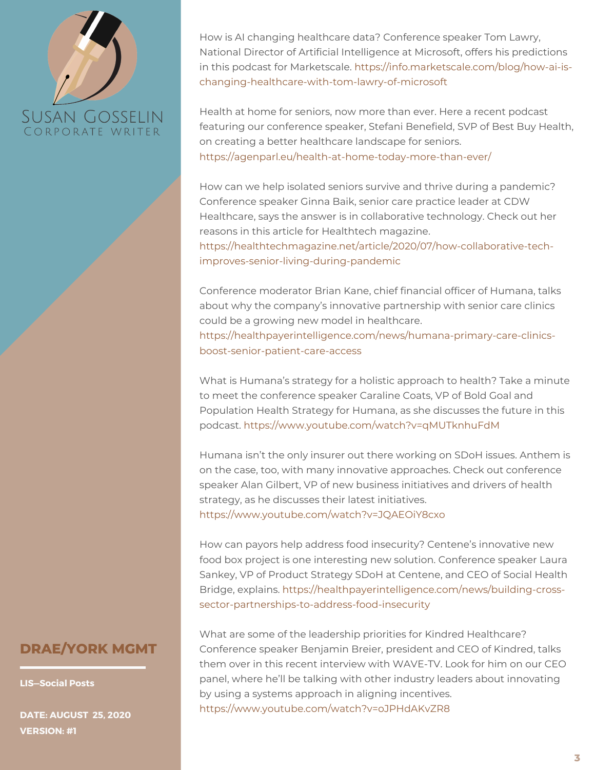How is AI changing healthcare data? Conference speaker Tom Lawry, National Director of Artificial Intelligence at Microsoft, offers his predictions in this podcast for Marketscale. https://info.marketscale.com/blog/how-ai-is[changing-healthcare-with-tom-lawry-of-microsoft](https://info.marketscale.com/blog/how-ai-is-changing-healthcare-with-tom-lawry-of-microsoft)

Health at home for seniors, now more than ever. Here a recent podcast featuring our conference speaker, Stefani Benefield, SVP of Best Buy Health, on creating a better healthcare landscape for seniors. <https://agenparl.eu/health-at-home-today-more-than-ever/>

How can we help isolated seniors survive and thrive during a pandemic? Conference speaker Ginna Baik, senior care practice leader at CDW Healthcare, says the answer is in collaborative technology. Check out her reasons in this article for Healthtech magazine.

[https://healthtechmagazine.net/article/2020/07/how-collaborative-tech](https://healthtechmagazine.net/article/2020/07/how-collaborative-tech-improves-senior-living-during-pandemic)improves-senior-living-during-pandemic

Conference moderator Brian Kane, chief financial officer of Humana, talks about why the company's innovative partnership with senior care clinics could be a growing new model in healthcare. [https://healthpayerintelligence.com/news/humana-primary-care-clinics](https://healthpayerintelligence.com/news/humana-primary-care-clinics-boost-senior-patient-care-access)boost-senior-patient-care-access

What is Humana's strategy for a holistic approach to health? Take a minute to meet the conference speaker Caraline Coats, VP of Bold Goal and Population Health Strategy for Humana, as she discusses the future in this podcast. <https://www.youtube.com/watch?v=qMUTknhuFdM>

Humana isn't the only insurer out there working on SDoH issues. Anthem is on the case, too, with many innovative approaches. Check out conference speaker Alan Gilbert, VP of new business initiatives and drivers of health strategy, as he discusses their latest initiatives. <https://www.youtube.com/watch?v=JQAEOiY8cxo>

How can payors help address food insecurity? Centene's innovative new food box project is one interesting new solution. Conference speaker Laura Sankey, VP of Product Strategy SDoH at Centene, and CEO of Social Health Bridge, explains. [https://healthpayerintelligence.com/news/building-cross](https://healthpayerintelligence.com/news/building-cross-sector-partnerships-to-address-food-insecurity)sector-partnerships-to-address-food-insecurity

### **DRAE/YORK MGMT**

**LIS—Social Posts**

**DATE: AUGUST 25, 2020 VERSION: #1**

What are some of the leadership priorities for Kindred Healthcare? Conference speaker Benjamin Breier, president and CEO of Kindred, talks them over in this recent interview with WAVE-TV. Look for him on our CEO panel, where he'll be talking with other industry leaders about innovating by using a systems approach in aligning incentives. <https://www.youtube.com/watch?v=oJPHdAKvZR8>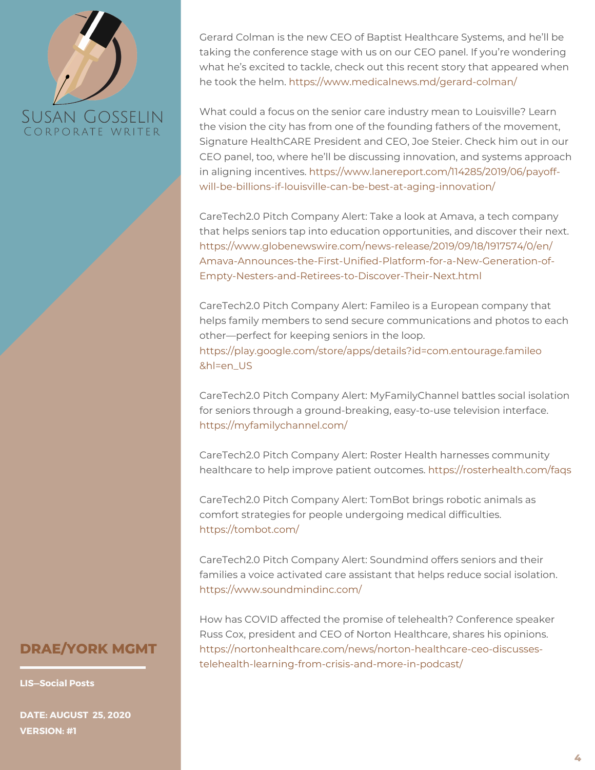

Gerard Colman is the new CEO of Baptist Healthcare Systems, and he'll be taking the conference stage with us on our CEO panel. If you're wondering what he's excited to tackle, check out this recent story that appeared when he took the helm. <https://www.medicalnews.md/gerard-colman/>

What could a focus on the senior care industry mean to Louisville? Learn the vision the city has from one of the founding fathers of the movement, Signature HealthCARE President and CEO, Joe Steier. Check him out in our CEO panel, too, where he'll be discussing innovation, and systems approach in aligning incentives. https://www.lanereport.com/114285/2019/06/payoff[will-be-billions-if-louisville-can-be-best-at-aging-innovation/](https://www.lanereport.com/114285/2019/06/payoff-will-be-billions-if-louisville-can-be-best-at-aging-innovation/)

CareTech2.0 Pitch Company Alert: Take a look at Amava, a tech company that helps seniors tap into education opportunities, and discover their next. [https://www.globenewswire.com/news-release/2019/09/18/1917574/0/en/](https://www.globenewswire.com/news-release/2019/09/18/1917574/0/en/Amava-Announces-the-First-Unified-Platform-for-a-New-Generation-of-Empty-Nesters-and-Retirees-to-Discover-Their-Next.html) [Amava-Announces-the-First-Unified-Platform-for-a-New-Generation-of-](https://www.globenewswire.com/news-release/2019/09/18/1917574/0/en/Amava-Announces-the-First-Unified-Platform-for-a-New-Generation-of-Empty-Nesters-and-Retirees-to-Discover-Their-Next.html)Empty-Nesters-and-Retirees-to-Discover-Their-Next.html

CareTech2.0 Pitch Company Alert: Famileo is a European company that helps family members to send secure communications and photos to each other—perfect for keeping seniors in the loop. [https://play.google.com/store/apps/details?id=com.entourage.famileo](https://play.google.com/store/apps/details?id=com.entourage.famileo&hl=en_US) [&hl=en\\_US](https://play.google.com/store/apps/details?id=com.entourage.famileo&hl=en_US)

CareTech2.0 Pitch Company Alert: MyFamilyChannel battles social isolation for seniors through a ground-breaking, easy-to-use television interface. <https://myfamilychannel.com/>

CareTech2.0 Pitch Company Alert: Roster Health harnesses community healthcare to help improve patient outcomes. <https://rosterhealth.com/faqs>

CareTech2.0 Pitch Company Alert: TomBot brings robotic animals as comfort strategies for people undergoing medical difficulties. <https://tombot.com/>

CareTech2.0 Pitch Company Alert: Soundmind offers seniors and their families a voice activated care assistant that helps reduce social isolation. <https://www.soundmindinc.com/>

How has COVID affected the promise of telehealth? Conference speaker Russ Cox, president and CEO of Norton Healthcare, shares his opinions. [https://nortonhealthcare.com/news/norton-healthcare-ceo-discusses](https://nortonhealthcare.com/news/norton-healthcare-ceo-discusses-telehealth-learning-from-crisis-and-more-in-podcast/)telehealth-learning-from-crisis-and-more-in-podcast/

#### **DRAE/YORK MGMT**

**LIS—Social Posts**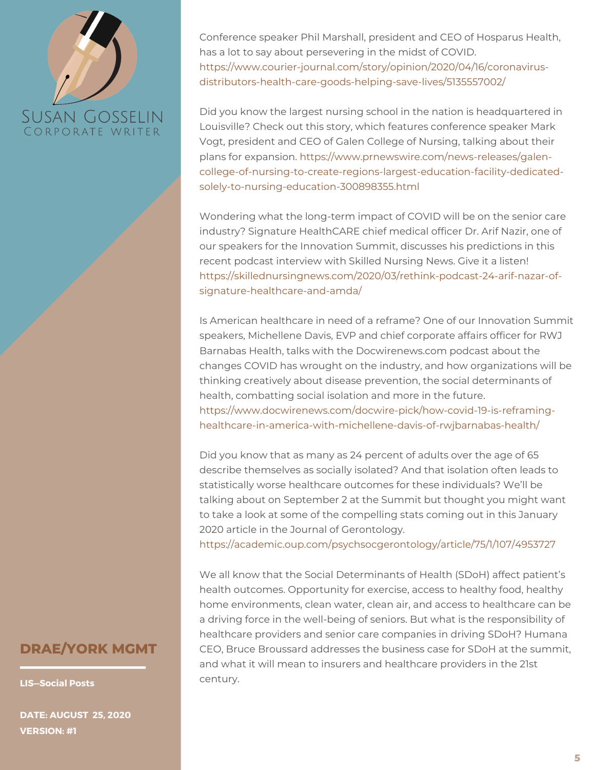Conference speaker Phil Marshall, president and CEO of Hosparus Health, has a lot to say about persevering in the midst of COVID. [https://www.courier-journal.com/story/opinion/2020/04/16/coronavirus](https://www.courier-journal.com/story/opinion/2020/04/16/coronavirus-distributors-health-care-goods-helping-save-lives/5135557002/)distributors-health-care-goods-helping-save-lives/5135557002/

Did you know the largest nursing school in the nation is headquartered in Louisville? Check out this story, which features conference speaker Mark Vogt, president and CEO of Galen College of Nursing, talking about their plans for expansion. https://www.prnewswire.com/news-releases/galen[college-of-nursing-to-create-regions-largest-education-facility-dedicated](https://www.prnewswire.com/news-releases/galen-college-of-nursing-to-create-regions-largest-education-facility-dedicated-solely-to-nursing-education-300898355.html)solely-to-nursing-education-300898355.html

Wondering what the long-term impact of COVID will be on the senior care industry? Signature HealthCARE chief medical officer Dr. Arif Nazir, one of our speakers for the Innovation Summit, discusses his predictions in this recent podcast interview with Skilled Nursing News. Give it a listen! [https://skillednursingnews.com/2020/03/rethink-podcast-24-arif-nazar-of](https://skillednursingnews.com/2020/03/rethink-podcast-24-arif-nazar-of-signature-healthcare-and-amda/)signature-healthcare-and-amda/

Is American healthcare in need of a reframe? One of our Innovation Summit speakers, Michellene Davis, EVP and chief corporate affairs officer for RWJ Barnabas Health, talks with the Docwirenews.com podcast about the changes COVID has wrought on the industry, and how organizations will be thinking creatively about disease prevention, the social determinants of health, combatting social isolation and more in the future. [https://www.docwirenews.com/docwire-pick/how-covid-19-is-reframing](https://www.docwirenews.com/docwire-pick/how-covid-19-is-reframing-healthcare-in-america-with-michellene-davis-of-rwjbarnabas-health/)healthcare-in-america-with-michellene-davis-of-rwjbarnabas-health/

Did you know that as many as 24 percent of adults over the age of 65 describe themselves as socially isolated? And that isolation often leads to statistically worse healthcare outcomes for these individuals? We'll be talking about on September 2 at the Summit but thought you might want to take a look at some of the compelling stats coming out in this January 2020 article in the Journal of Gerontology.

<https://academic.oup.com/psychsocgerontology/article/75/1/107/4953727>

We all know that the Social Determinants of Health (SDoH) affect patient's health outcomes. Opportunity for exercise, access to healthy food, healthy home environments, clean water, clean air, and access to healthcare can be a driving force in the well-being of seniors. But what is the responsibility of healthcare providers and senior care companies in driving SDoH? Humana CEO, Bruce Broussard addresses the business case for SDoH at the summit, and what it will mean to insurers and healthcare providers in the 21st century.

#### **DRAE/YORK MGMT**

**LIS—Social Posts**